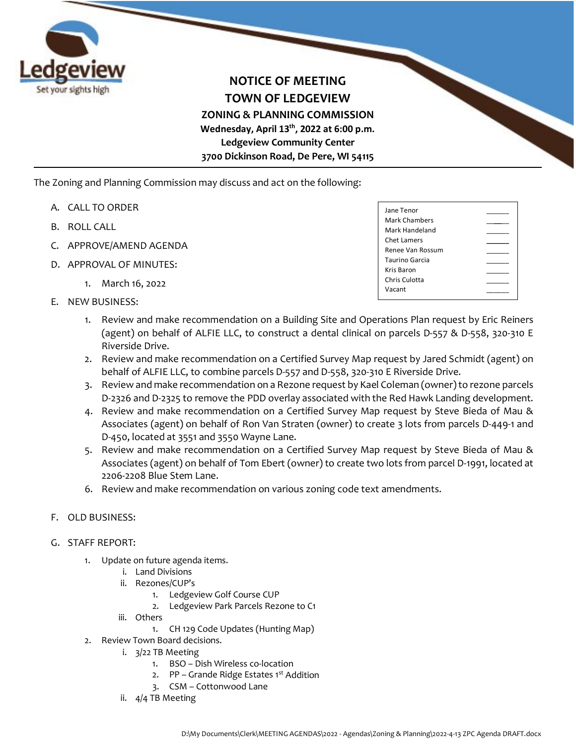

**NOTICE OF MEETING TOWN OF LEDGEVIEW ZONING & PLANNING COMMISSION Wednesday, April 13th, 2022 at 6:00 p.m. Ledgeview Community Center 3700 Dickinson Road, De Pere, WI 54115**

The Zoning and Planning Commission may discuss and act on the following:

- A. CALL TO ORDER
- B. ROLL CALL
- C. APPROVE/AMEND AGENDA
- D. APPROVAL OF MINUTES:
	- 1. March 16, 2022
- E. NEW BUSINESS:

| Jane Tenor            |  |
|-----------------------|--|
|                       |  |
| <b>Mark Chambers</b>  |  |
| Mark Handeland        |  |
| Chet Lamers           |  |
| Renee Van Rossum      |  |
| <b>Taurino Garcia</b> |  |
| Kris Baron            |  |
| Chris Culotta         |  |
| Vacant                |  |
|                       |  |

- 1. Review and make recommendation on a Building Site and Operations Plan request by Eric Reiners (agent) on behalf of ALFIE LLC, to construct a dental clinical on parcels D-557 & D-558, 320-310 E Riverside Drive.
- 2. Review and make recommendation on a Certified Survey Map request by Jared Schmidt (agent) on behalf of ALFIE LLC, to combine parcels D-557 and D-558, 320-310 E Riverside Drive.
- 3. Review and make recommendation on a Rezone request by Kael Coleman (owner) to rezone parcels D-2326 and D-2325 to remove the PDD overlay associated with the Red Hawk Landing development.
- 4. Review and make recommendation on a Certified Survey Map request by Steve Bieda of Mau & Associates (agent) on behalf of Ron Van Straten (owner) to create 3 lots from parcels D-449-1 and D-450, located at 3551 and 3550 Wayne Lane.
- 5. Review and make recommendation on a Certified Survey Map request by Steve Bieda of Mau & Associates (agent) on behalf of Tom Ebert (owner) to create two lots from parcel D-1991, located at 2206-2208 Blue Stem Lane.
- 6. Review and make recommendation on various zoning code text amendments.
- F. OLD BUSINESS:
- G. STAFF REPORT:
	- 1. Update on future agenda items.
		- i. Land Divisions
		- ii. Rezones/CUP's
			- 1. Ledgeview Golf Course CUP
			- 2. Ledgeview Park Parcels Rezone to C1
		- iii. Others
			- 1. CH 129 Code Updates (Hunting Map)
	- 2. Review Town Board decisions.
		- i. 3/22 TB Meeting
			- 1. BSO Dish Wireless co-location
			- 2. PP Grande Ridge Estates  $1<sup>st</sup>$  Addition
			- 3. CSM Cottonwood Lane
		- ii. 4/4 TB Meeting